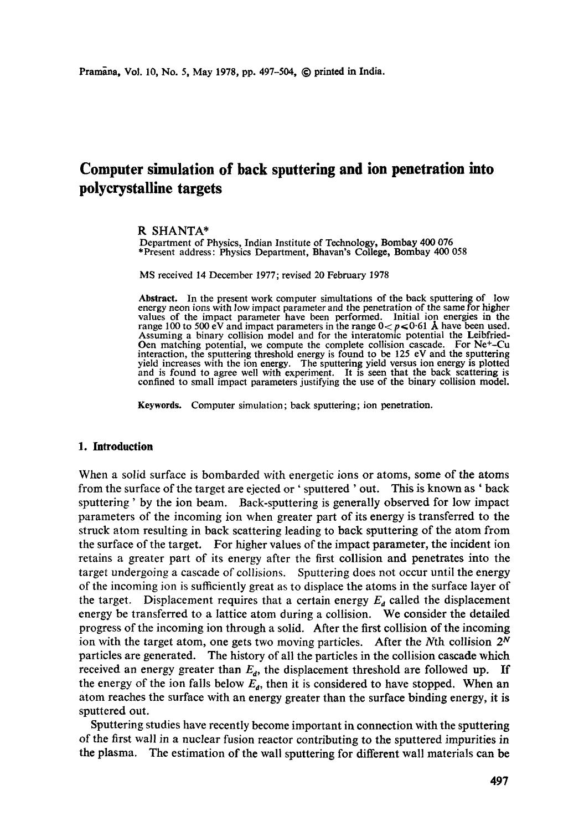# **Computer simulation of back sputtering and ion penetration into polycrystalline targets**

#### R SHANTA\*

Department of Physics, Indian Institute of Technology, Bombay 400 076 \*Present address: Physics Department, Bhavan's College, Bombay 400 058

MS received 14 December 1977; revised 20 February 1978

**Abstract.** In the present work computer simultations of the back sputtering of low energy neon ions with low impact parameter and the penetration of the same for higher values of the impact parameter have been performed. Initial ion energies in the range 100 to 500 eV and impact parameters in the range  $0 < p < 0$  61 Å have been used. Assuming a binary collision model and for the interatomic potential the Leibfried-Oen matching potential, we compute the complete collision cascade. For Ne+-Cu interaction, the sputtering threshold energy is found to be 125 eV and the sputtering yield increases with the ion energy. The sputtering yield versus ion energy **is plotted**  and is found to agree well with experiment. It is seen that the back scattering is confined to small impact parameters justifying the use of the binary collision model.

**Keywords.** Computer simulation; back sputtering; ion penetration.

## **1. Introduction**

When a solid surface is bombarded with energetic ions or atoms, some of the atoms from the surface of the target are ejected or' sputtered ' out. This is known as ' back sputtering ' by the ion beam. Back-sputtering is generally observed for low impact parameters of the incoming ion when greater part of its energy is transferred to the struck atom resulting in back scattering leading to back sputtering of the atom from the surface of the target. For higher values of the impact parameter, the incident ion retains a greater part of its energy after the first collision and penetrates into the target undergoing a cascade of collisions. Sputtering does not occur until the energy of the incoming ion is sufficiently great as to displace the atoms in the surface layer of the target. Displacement requires that a certain energy  $E_a$  called the displacement energy be transferred to a lattice atom during a collision. We consider the detailed progress of the incoming ion through a solid. After the first collision of the incoming ion with the target atom, one gets two moving particles. After the Nth collision  $2^N$ particles are generated. The history of all the particles in the collision cascade which received an energy greater than  $E_d$ , the displacement threshold are followed up. If the energy of the ion falls below  $E_d$ , then it is considered to have stopped. When an atom reaches the surface with an energy greater than the surface binding energy, it is sputtered out.

Sputtering studies have recently become important in connection with the sputtering of the first wall in a nuclear fusion reactor contributing to the sputtered impurities in the plasma. The estimation of the wall sputtering for different wall materials can be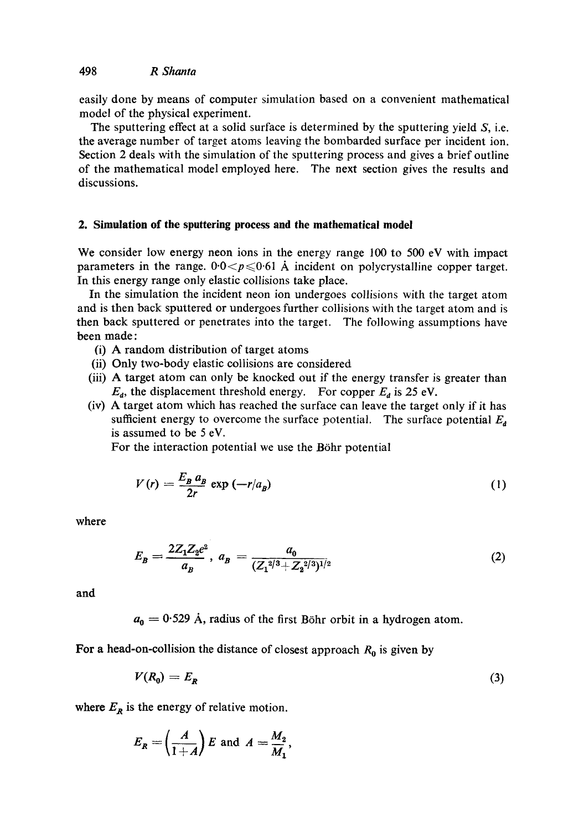easily done by means of computer simulation based on a convenient mathematical model of the physical experiment.

The sputtering effect at a solid surface is determined by the sputtering yield  $S$ , i.e. the average number of target atoms leaving the bombarded surface per incident ion. Section 2 deals with the simulation of the sputtering process and gives a brief outline of the mathematical model employed here. The next section gives the results and discussions.

## **2. Simulation of the sputtering process and the mathematical model**

We consider low energy neon ions in the energy range 100 to 500 eV with impact parameters in the range.  $0.0 < p \le 0.61$  A incident on polycrystalline copper target. In this energy range only elastic collisions take place.

In the simulation the incident neon ion undergoes collisions with the target atom and is then back sputtered or undergoes further collisions with the target atom and is then back sputtered or penetrates into the target. The following assumptions have been made:

- (i) A random distribution of target atoms
- (ii) Only two-body elastic collisions are considered
- (iii) A target atom can only be knocked out if the energy transfer is greater than  $E_d$ , the displacement threshold energy. For copper  $E_d$  is 25 eV.
- (iv) A target atom which has reached the surface can leave the target only if it has sufficient energy to overcome the surface potential. The surface potential  $E<sub>d</sub>$ is assumed to be 5 eV.

For the interaction potential we use the Böhr potential

$$
V(r) = \frac{E_B a_B}{2r} \exp(-r/a_B) \tag{1}
$$

**where** 

$$
E_B = \frac{2Z_1Z_2e^2}{a_B}, \ a_B = \frac{a_0}{(Z_1^{2/3} + Z_2^{2/3})^{1/2}} \tag{2}
$$

and

 $a_0 = 0.529$  Å, radius of the first Böhr orbit in a hydrogen atom.

For a head-on-collision the distance of closest approach  $R_0$  is given by

$$
V(R_0) = E_R \tag{3}
$$

where  $E_R$  is the energy of relative motion.

$$
E_R = \left(\frac{A}{1+A}\right)E \text{ and } A = \frac{M_2}{M_1}
$$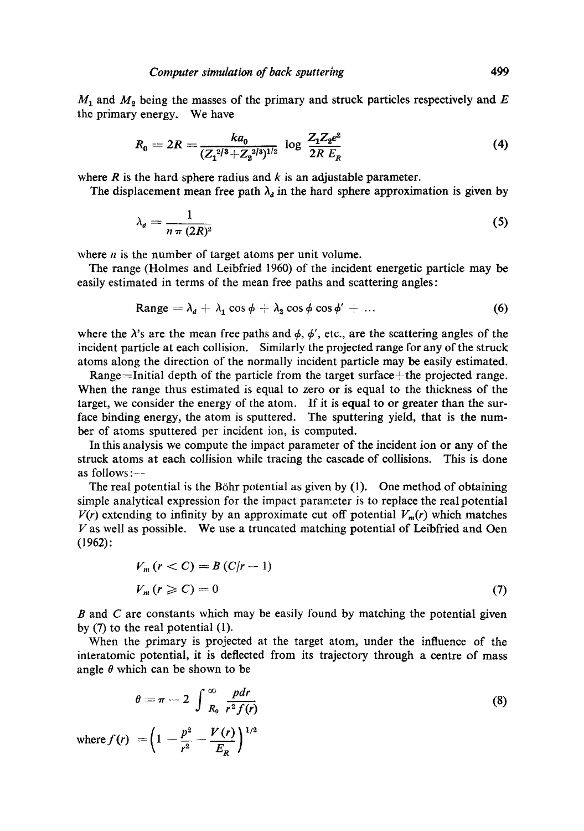$M_1$  and  $M_2$  being the masses of the primary and struck particles respectively and E the primary energy. We have

$$
R_0 = 2R = \frac{ka_0}{(Z_1^{2/3} + Z_2^{2/3})^{1/2}} \log \frac{Z_1 Z_2 e^2}{2R E_R}
$$
(4)

where  $R$  is the hard sphere radius and  $k$  is an adjustable parameter.

The displacement mean free path  $\lambda_d$  in the hard sphere approximation is given by

$$
\lambda_d = \frac{1}{n \pi \left( 2R \right)^2} \tag{5}
$$

where  $n$  is the number of target atoms per unit volume.

The range (Holmes and Leibfried 1960) of the incident energetic particle may be easily estimated in terms of the mean free paths and scattering angles:

$$
\text{Range} = \lambda_d + \lambda_1 \cos \phi + \lambda_2 \cos \phi \cos \phi' + \dots \tag{6}
$$

where the  $\lambda$ 's are the mean free paths and  $\phi$ ,  $\phi'$ , etc., are the scattering angles of the incident particle at each collision. Similarly the projected range for any of the struck atoms along the direction of the normally incident particle may be easily estimated.

Range=Initial depth of the particle from the target surface+the projected range. When the range thus estimated is equal to zero or is equal to the thickness of the target, we consider the energy of the atom. If it is equal to or greater than the surface binding energy, the atom is sputtered. The sputtering yield, that is the number of atoms sputtered per incident ion, is computed.

In this analysis we compute the impact parameter of the incident ion or any of the struck atoms at each collision while tracing the cascade of collisions. This is done as follows :—

The real potential is the Böhr potential as given by  $(1)$ . One method of obtaining simple analytical expression for the impact parameter is to replace the real potential  $V(r)$  extending to infinity by an approximate cut off potential  $V_m(r)$  which matches V as well as possible. We use a truncated matching potential of Leibfried and Oen (1962):

$$
V_m(r < C) = B(C|r - 1)
$$
  

$$
V_m(r \ge C) = 0
$$
 (7)

 $B$  and  $C$  are constants which may be easily found by matching the potential given by (7) to the real potential (1).

When the primary is projected at the target atom, under the influence of the interatomic potential, it is deflected from its trajectory through a centre of mass angle  $\theta$  which can be shown to be

$$
\theta = \pi - 2 \int_{R_0}^{\infty} \frac{pdr}{r^2 f(r)}
$$
\n
$$
\text{where } f(r) = \left(1 - \frac{p^2}{r^2} - \frac{V(r)}{E_R}\right)^{1/2}
$$
\n(8)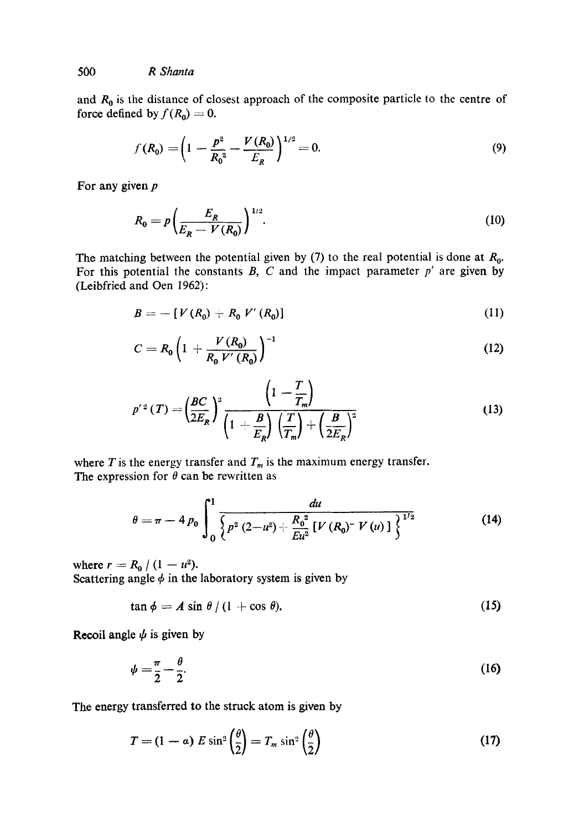*500 R Shanta* 

and  $R_0$  is the distance of closest approach of the composite particle to the centre of force defined by  $f(R_0) = 0$ .

$$
f(R_0) = \left(1 - \frac{p^2}{R_0^2} - \frac{V(R_0)}{E_R}\right)^{1/2} = 0.
$$
\n(9)

For any given **<sup>p</sup>**

$$
R_0 = p \left( \frac{E_R}{E_R - V(R_0)} \right)^{1/2}.
$$
 (10)

The matching between the potential given by (7) to the real potential is done at  $R_0$ . For this potential the constants  $B$ ,  $C$  and the impact parameter  $p'$  are given by (Leibfried and Oen 1962):

$$
B = -[V(R_0) + R_0 V'(R_0)] \tag{11}
$$

$$
C = R_0 \left( 1 + \frac{V(R_0)}{R_0 V'(R_0)} \right)^{-1}
$$
 (12)

$$
p'^2(T) = \left(\frac{BC}{2E_R}\right)^2 \frac{\left(1 - \frac{T}{T_m}\right)}{\left(1 + \frac{B}{E_R}\right)\left(\frac{T}{T_m}\right) + \left(\frac{B}{2E_R}\right)^2}
$$
(13)

where T is the energy transfer and  $T_m$  is the maximum energy transfer. The expression for  $\theta$  can be rewritten as

$$
\theta = \pi - 4 p_0 \int_0^1 \frac{du}{\left\{ p^2 (2 - u^2) + \frac{R_0^2}{E u^2} \left[ V (R_0)^{-} V (u) \right] \right\}^{1/2}}
$$
(14)

where  $r = R_0 / (1 - u^2)$ . Scattering angle  $\phi$  in the laboratory system is given by

$$
\tan \phi = A \sin \theta / (1 + \cos \theta). \tag{15}
$$

Recoil angle  $\psi$  is given by

$$
\psi = \frac{\pi}{2} - \frac{\theta}{2}.\tag{16}
$$

The energy transferred to the struck atom is given by

$$
T = (1 - \alpha) E \sin^2\left(\frac{\theta}{2}\right) = T_m \sin^2\left(\frac{\theta}{2}\right)
$$
 (17)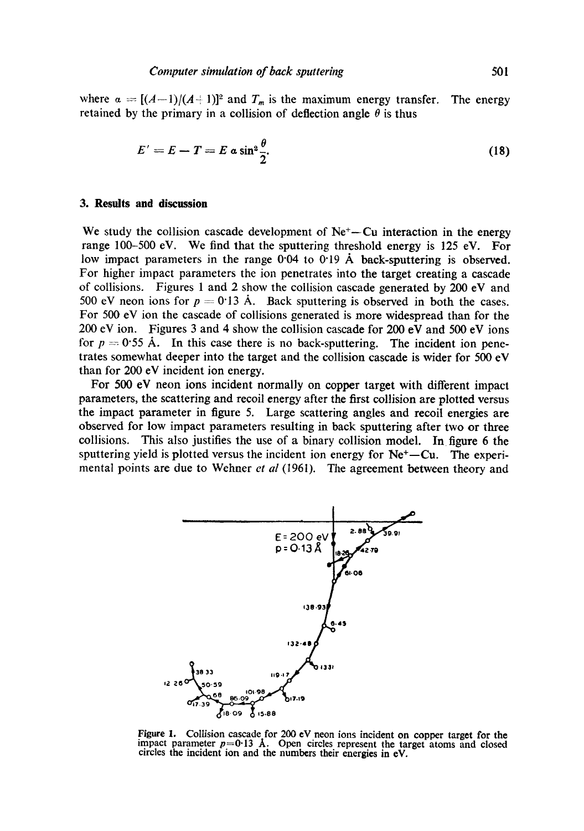where  $\alpha = [(A-1)/(A+1)]^2$  and  $T_m$  is the maximum energy transfer. The energy retained by the primary in a collision of deflection angle  $\theta$  is thus

$$
E'=E-T=E a \sin^2 \frac{\theta}{2}.
$$
 (18)

## **3. Results and discussion**

We study the collision cascade development of  $Ne<sup>+</sup>$ -Cu interaction in the energy range 100-500 eV. We find that the sputtering threshold energy is 125 eV. For low impact parameters in the range  $0.04$  to  $0.19$  Å back-sputtering is observed. For higher impact parameters the ion penetrates into the target creating a cascade of collisions. Figures 1 and 2 show the collision cascade generated by 200 eV and 500 eV neon ions for  $p = 0.13$  A. Back sputtering is observed in both the cases. For 500 eV ion the cascade of collisions generated is more widespread than for the 200 eV ion. Figures 3 and 4 show the collision cascade for 200 eV and 500 eV ions for  $p = 0.55$  Å. In this case there is no back-sputtering. The incident ion penetrates somewhat deeper into the target and the collision cascade is wider for 500 eV than for 200 eV incident ion energy.

For 500 eV neon ions incident normally on copper target with different impact parameters, the scattering and recoil energy after the first collision are plotted versus the impact parameter in figure 5. Large scattering angles and recoil energies are observed for low impact parameters resulting in back sputtering after two or three collisions. This also justifies the use of a binary collision model. In figure 6 the sputtering yield is plotted versus the incident ion energy for  $Ne<sup>+</sup>-Cu$ . The experimental points are due to Wehner *et al* (1961). The agreement between theory and



Figure 1. Collision cascade for 200 eV neon ions incident on copper target for the impact parameter  $p=0.13$  Å. Open circles represent the target atoms and closed circles the incident ion and the numbers their energies in eV.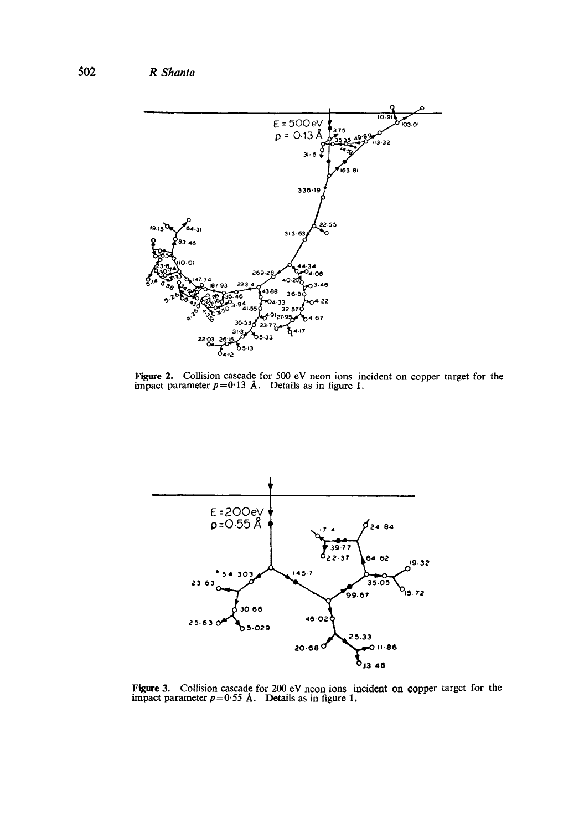**502** *R Shanta* 



Figure 2. Collision cascade for 500 eV neon ions incident on copper target for the impact parameter  $p=0.13$  A. Details as in figure 1.



Figure 3. Collision cascade for 200 eV neon ions incident on copper target for the impact parameter  $p=0.55$  Å. Details as in figure 1.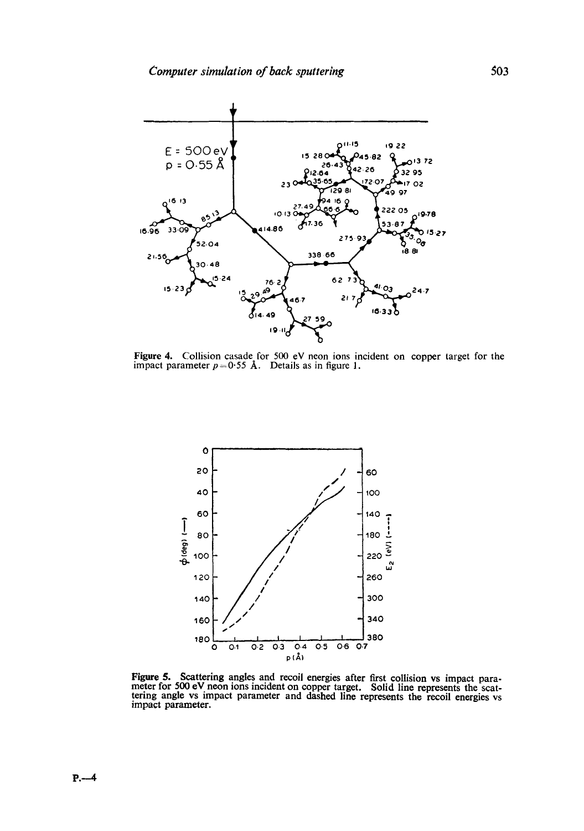

**Figure 4.** Collision casade for 500 eV neon ions incident on copper target for the impact parameter  $p=0.55$  Å. Details as in figure 1.



Figure 5. Scattering angles and recoil energies after first collision vs impact para-meter for 500 eV neon ions incident on copper target. Solid line represents the scattering angle vs impact parameter and dashed line represents the recoil energies vs impact parameter.